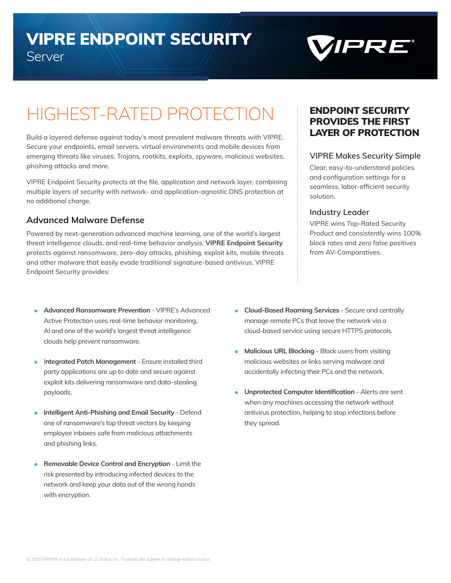# VIPRE ENDPOINT SECURITY Server



# HIGHEST-RATED PROTECTION

Build a layered defense against today's most prevalent malware threats with VIPRE. Secure your endpoints, email servers, virtual environments and mobile devices from emerging threats like viruses, Trojans, rootkits, exploits, spyware, malicious websites, phishing attacks and more.

VIPRE Endpoint Security protects at the file, application and network layer, combining multiple layers of security with network- and application-agnostic DNS protection at no additional charge.

### **Advanced Malware Defense**

Powered by next-generation advanced machine learning, one of the world's largest threat intelligence clouds, and real-time behavior analysis, **VIPRE Endpoint Security**  protects against ransomware, zero-day attacks, phishing, exploit kits, mobile threats and other malware that easily evade traditional signature-based antivirus. VIPRE Endpoint Security provides:

- **Advanced Ransomware Prevention VIPRE's Advanced** Active Protection uses real-time behavior monitoring, AI and one of the world's largest threat intelligence clouds help prevent ransomware.
- I**ntegrated Patch Management**  Ensure installed third party applications are up to date and secure against exploit kits delivering ransomware and data-stealing payloads.
- **Intelligent Anti-Phishing and Email Security** Defend one of ransomware's top threat vectors by keeping employee inboxes safe from malicious attachments and phishing links.
- **Removable Device Control and Encryption** Limit the risk presented by introducing infected devices to the network and keep your data out of the wrong hands with encryption.

ENDPOINT SECURITY PROVIDES THE FIRST LAYER OF PROTECTION

#### **VIPRE Makes Security Simple**

Clear, easy-to-understand policies and configuration settings for a seamless, labor-efficient security solution.

#### **Industry Leader**

VIPRE wins Top-Rated Security Product and consistently wins 100% block rates and zero false positives from AV-Comparatives.

- **Cloud-Based Roaming Services** Secure and centrally manage remote PCs that leave the network via a cloud-based service using secure HTTPS protocols.
- **Malicious URL Blocking**  Block users from visiting malicious websites or links serving malware and accidentally infecting their PCs and the network.
- **Unprotected Computer Identification**  Alerts are sent when any machines accessing the network without antivirus protection, helping to stop infections before they spread.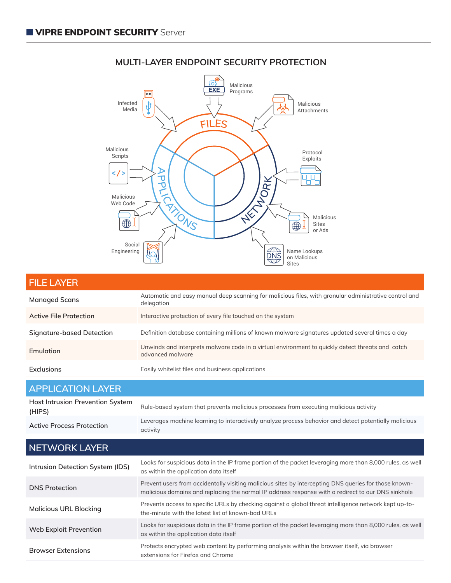

## **MULTI-LAYER ENDPOINT SECURITY PROTECTION**

| <b>FILE LAYER</b>                |                                                                                                                      |
|----------------------------------|----------------------------------------------------------------------------------------------------------------------|
| <b>Managed Scans</b>             | Automatic and easy manual deep scanning for malicious files, with granular administrative control and<br>delegation  |
| Active File Protection           | Interactive protection of every file touched on the system                                                           |
| <b>Signature-based Detection</b> | Definition database containing millions of known malware signatures updated several times a day                      |
| <b>Emulation</b>                 | Unwinds and interprets malware code in a virtual environment to quickly detect threats and catch<br>advanced malware |
| <b>Exclusions</b>                | Easily whitelist files and business applications                                                                     |

| <b>APPLICATION LAYER</b>                          |                                                                                                                   |
|---------------------------------------------------|-------------------------------------------------------------------------------------------------------------------|
| <b>Host Intrusion Prevention System</b><br>(HIPS) | Rule-based system that prevents malicious processes from executing malicious activity                             |
| <b>Active Process Protection</b>                  | Leverages machine learning to interactively analyze process behavior and detect potentially malicious<br>activity |

| NETWORK LAYER                    |                                                                                                                                                                                                             |
|----------------------------------|-------------------------------------------------------------------------------------------------------------------------------------------------------------------------------------------------------------|
| Intrusion Detection System (IDS) | Looks for suspicious data in the IP frame portion of the packet leveraging more than 8,000 rules, as well<br>as within the application data itself                                                          |
| <b>DNS Protection</b>            | Prevent users from accidentally visiting malicious sites by intercepting DNS queries for those known-<br>malicious domains and replacing the normal IP address response with a redirect to our DNS sinkhole |
| <b>Malicious URL Blocking</b>    | Prevents access to specific URLs by checking against a global threat intelligence network kept up-to-<br>the-minute with the latest list of known-bad URLs                                                  |
| Web Exploit Prevention           | Looks for suspicious data in the IP frame portion of the packet leveraging more than 8,000 rules, as well<br>as within the application data itself                                                          |
| <b>Browser Extensions</b>        | Protects encrypted web content by performing analysis within the browser itself, via browser<br>extensions for Firefox and Chrome                                                                           |